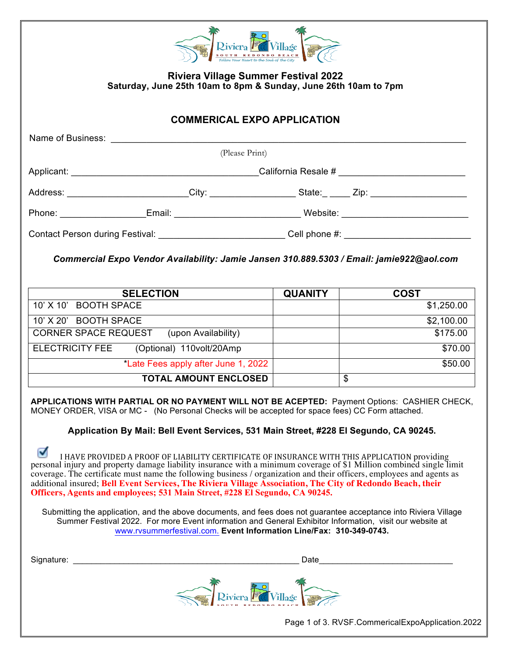| Riviera F                                                                                                      |                                                                                                                |                |                         |  |  |  |  |
|----------------------------------------------------------------------------------------------------------------|----------------------------------------------------------------------------------------------------------------|----------------|-------------------------|--|--|--|--|
| <b>Riviera Village Summer Festival 2022</b><br>Saturday, June 25th 10am to 8pm & Sunday, June 26th 10am to 7pm |                                                                                                                |                |                         |  |  |  |  |
| <b>COMMERICAL EXPO APPLICATION</b>                                                                             |                                                                                                                |                |                         |  |  |  |  |
|                                                                                                                | Name of Business: <u>Name of Business:</u>                                                                     |                |                         |  |  |  |  |
| (Please Print)                                                                                                 |                                                                                                                |                |                         |  |  |  |  |
|                                                                                                                |                                                                                                                |                |                         |  |  |  |  |
|                                                                                                                | Address: _________________________City: _______________________State:_ _____ Zip: _______________________      |                |                         |  |  |  |  |
|                                                                                                                | Phone: ____________________Email: _________________________________Website: __________________________________ |                |                         |  |  |  |  |
| Contact Person during Festival: _____________________________Cell phone #: _________________________           |                                                                                                                |                |                         |  |  |  |  |
| Commercial Expo Vendor Availability: Jamie Jansen 310.889.5303 / Email: jamie922@aol.com                       |                                                                                                                |                |                         |  |  |  |  |
|                                                                                                                | <b>SELECTION</b>                                                                                               | <b>QUANITY</b> | <b>COST</b>             |  |  |  |  |
| 10' X 10' BOOTH SPACE                                                                                          |                                                                                                                |                | \$1,250.00              |  |  |  |  |
| 10' X 20' BOOTH SPACE                                                                                          |                                                                                                                |                | \$2,100.00              |  |  |  |  |
|                                                                                                                | CORNER SPACE REQUEST (upon Availability)                                                                       |                | \$175.00                |  |  |  |  |
|                                                                                                                | ELECTRICITY FEE (Optional) 110volt/20Amp                                                                       |                | \$70.00                 |  |  |  |  |
|                                                                                                                | *Late Fees apply after June 1, 2022                                                                            |                | \$50.00                 |  |  |  |  |
|                                                                                                                | <b>TOTAL AMOUNT ENCLOSED</b>                                                                                   |                | $\overline{\mathbf{s}}$ |  |  |  |  |

**APPLICATIONS WITH PARTIAL OR NO PAYMENT WILL NOT BE ACEPTED:** Payment Options: CASHIER CHECK, MONEY ORDER, VISA or MC - (No Personal Checks will be accepted for space fees) CC Form attached.

**Application By Mail: Bell Event Services, 531 Main Street, #228 El Segundo, CA 90245.**

⊽ I HAVE PROVIDED A PROOF OF LIABILITY CERTIFICATE OF INSURANCE WITH THIS APPLICATION providing personal injury and property damage liability insurance with a minimum coverage of \$1 Million combined single limit coverage. The certificate must name the following business / organization and their officers, employees and agents as additional insured; **Bell Event Services, The Riviera Village Association, The City of Redondo Beach, their Officers, Agents and employees; 531 Main Street, #228 El Segundo, CA 90245.**

Submitting the application, and the above documents, and fees does not guarantee acceptance into Riviera Village Summer Festival 2022. For more Event information and General Exhibitor Information, visit our website at www.rvsummerfestival.com. **Event Information Line/Fax: 310-349-0743.**

| Signature: | Date                 |
|------------|----------------------|
|            | Riviera Village<br>體 |

Page 1 of 3. RVSF.CommericalExpoApplication.2022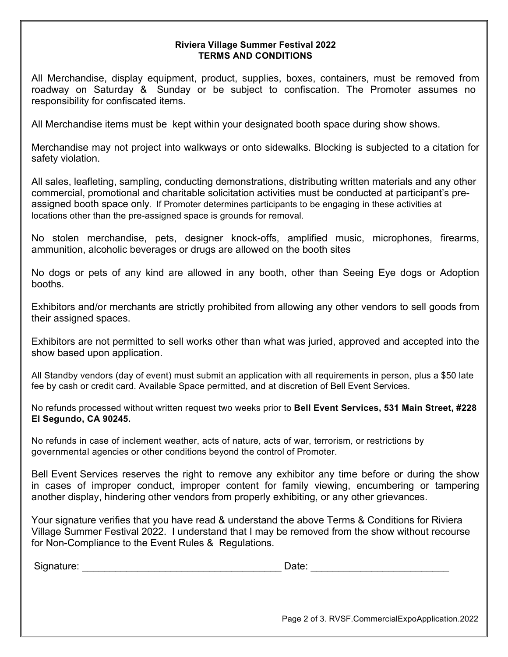## **Riviera Village Summer Festival 2022 TERMS AND CONDITIONS**

All Merchandise, display equipment, product, supplies, boxes, containers, must be removed from roadway on Saturday & Sunday or be subject to confiscation. The Promoter assumes no responsibility for confiscated items.

All Merchandise items must be kept within your designated booth space during show shows.

Merchandise may not project into walkways or onto sidewalks. Blocking is subjected to a citation for safety violation.

All sales, leafleting, sampling, conducting demonstrations, distributing written materials and any other commercial, promotional and charitable solicitation activities must be conducted at participant's preassigned booth space only. If Promoter determines participants to be engaging in these activities at locations other than the pre-assigned space is grounds for removal.

No stolen merchandise, pets, designer knock-offs, amplified music, microphones, firearms, ammunition, alcoholic beverages or drugs are allowed on the booth sites

No dogs or pets of any kind are allowed in any booth, other than Seeing Eye dogs or Adoption booths.

Exhibitors and/or merchants are strictly prohibited from allowing any other vendors to sell goods from their assigned spaces.

Exhibitors are not permitted to sell works other than what was juried, approved and accepted into the show based upon application.

All Standby vendors (day of event) must submit an application with all requirements in person, plus a \$50 late fee by cash or credit card. Available Space permitted, and at discretion of Bell Event Services.

No refunds processed without written request two weeks prior to **Bell Event Services, 531 Main Street, #228 El Segundo, CA 90245.**

No refunds in case of inclement weather, acts of nature, acts of war, terrorism, or restrictions by governmental agencies or other conditions beyond the control of Promoter.

Bell Event Services reserves the right to remove any exhibitor any time before or during the show in cases of improper conduct, improper content for family viewing, encumbering or tampering another display, hindering other vendors from properly exhibiting, or any other grievances.

Your signature verifies that you have read & understand the above Terms & Conditions for Riviera Village Summer Festival 2022. I understand that I may be removed from the show without recourse for Non-Compliance to the Event Rules & Regulations.

| Signature: | Date: |  |
|------------|-------|--|
|            |       |  |

Page 2 of 3. RVSF.CommercialExpoApplication.2022